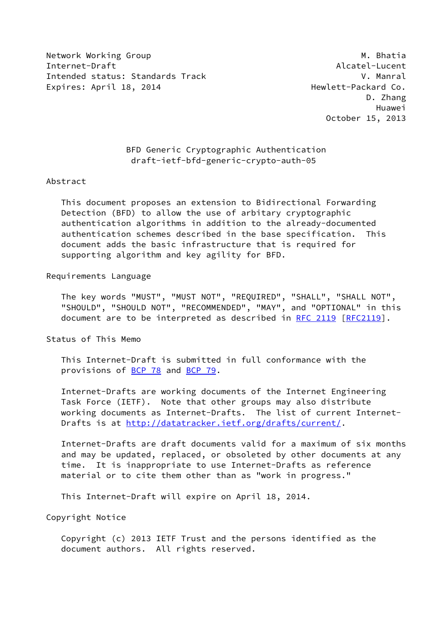Network Working Group Matchest Communication of the Matchest Matchest Matchest Matchest Matchest Matchest Match Internet-Draft Alcatel-Lucent Intended status: Standards Track V. Manral Expires: April 18, 2014 **Hexault Expires: April 18, 2014 Hexault Expires: April 18**, 2014

 D. Zhang Huawei October 15, 2013

## BFD Generic Cryptographic Authentication draft-ietf-bfd-generic-crypto-auth-05

#### Abstract

 This document proposes an extension to Bidirectional Forwarding Detection (BFD) to allow the use of arbitary cryptographic authentication algorithms in addition to the already-documented authentication schemes described in the base specification. This document adds the basic infrastructure that is required for supporting algorithm and key agility for BFD.

## Requirements Language

 The key words "MUST", "MUST NOT", "REQUIRED", "SHALL", "SHALL NOT", "SHOULD", "SHOULD NOT", "RECOMMENDED", "MAY", and "OPTIONAL" in this document are to be interpreted as described in [RFC 2119 \[RFC2119](https://datatracker.ietf.org/doc/pdf/rfc2119)].

Status of This Memo

 This Internet-Draft is submitted in full conformance with the provisions of [BCP 78](https://datatracker.ietf.org/doc/pdf/bcp78) and [BCP 79](https://datatracker.ietf.org/doc/pdf/bcp79).

 Internet-Drafts are working documents of the Internet Engineering Task Force (IETF). Note that other groups may also distribute working documents as Internet-Drafts. The list of current Internet- Drafts is at<http://datatracker.ietf.org/drafts/current/>.

 Internet-Drafts are draft documents valid for a maximum of six months and may be updated, replaced, or obsoleted by other documents at any time. It is inappropriate to use Internet-Drafts as reference material or to cite them other than as "work in progress."

This Internet-Draft will expire on April 18, 2014.

Copyright Notice

 Copyright (c) 2013 IETF Trust and the persons identified as the document authors. All rights reserved.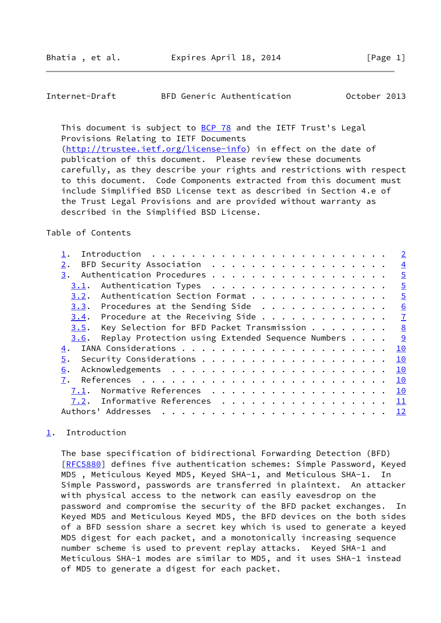### <span id="page-1-1"></span>Internet-Draft BFD Generic Authentication October 2013

This document is subject to [BCP 78](https://datatracker.ietf.org/doc/pdf/bcp78) and the IETF Trust's Legal Provisions Relating to IETF Documents [\(http://trustee.ietf.org/license-info](http://trustee.ietf.org/license-info)) in effect on the date of publication of this document. Please review these documents

 carefully, as they describe your rights and restrictions with respect to this document. Code Components extracted from this document must include Simplified BSD License text as described in Section 4.e of the Trust Legal Provisions and are provided without warranty as described in the Simplified BSD License.

### Table of Contents

|                                                                            |  |  | $\overline{2}$ |
|----------------------------------------------------------------------------|--|--|----------------|
| BFD Security Association<br>$2$ .                                          |  |  | $\overline{4}$ |
| 3.                                                                         |  |  | $\overline{5}$ |
| Authentication Types<br>3.1.                                               |  |  | $\overline{5}$ |
| Authentication Section Format<br>3.2.                                      |  |  | $\overline{5}$ |
| $3.3$ . Procedures at the Sending Side                                     |  |  | 6              |
| $3.4$ . Procedure at the Receiving Side                                    |  |  | $\mathbf{I}$   |
| Key Selection for BFD Packet Transmission 8<br>3.5.                        |  |  |                |
|                                                                            |  |  |                |
| Replay Protection using Extended Sequence Numbers<br>3.6.                  |  |  |                |
| 4.                                                                         |  |  | 10             |
| 5.                                                                         |  |  | 10             |
| 6.                                                                         |  |  | 10             |
| 7.<br>References $\ldots \ldots \ldots \ldots \ldots \ldots \ldots \ldots$ |  |  | 10             |
| Normative References<br>7.1.                                               |  |  | 10             |
| Informative References<br>7.2.                                             |  |  | 11             |

# <span id="page-1-0"></span>[1](#page-1-0). Introduction

 The base specification of bidirectional Forwarding Detection (BFD) [\[RFC5880](https://datatracker.ietf.org/doc/pdf/rfc5880)] defines five authentication schemes: Simple Password, Keyed MD5 , Meticulous Keyed MD5, Keyed SHA-1, and Meticulous SHA-1. In Simple Password, passwords are transferred in plaintext. An attacker with physical access to the network can easily eavesdrop on the password and compromise the security of the BFD packet exchanges. In Keyed MD5 and Meticulous Keyed MD5, the BFD devices on the both sides of a BFD session share a secret key which is used to generate a keyed MD5 digest for each packet, and a monotonically increasing sequence number scheme is used to prevent replay attacks. Keyed SHA-1 and Meticulous SHA-1 modes are similar to MD5, and it uses SHA-1 instead of MD5 to generate a digest for each packet.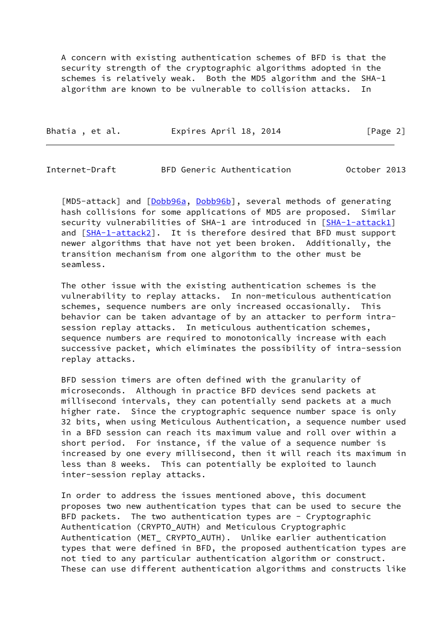A concern with existing authentication schemes of BFD is that the security strength of the cryptographic algorithms adopted in the schemes is relatively weak. Both the MD5 algorithm and the SHA-1 algorithm are known to be vulnerable to collision attacks.

| Bhatia, et al. | Expires April 18, 2014 | [Page 2] |
|----------------|------------------------|----------|
|                |                        |          |

Internet-Draft BFD Generic Authentication October 2013

[MD5-attack] and [\[Dobb96a](#page-11-5), [Dobb96b](#page-11-6)], several methods of generating hash collisions for some applications of MD5 are proposed. Similar security vulnerabilities of SHA-1 are introduced in [\[SHA-1-attack1](#page-12-1)] and [\[SHA-1-attack2](#page-12-2)]. It is therefore desired that BFD must support newer algorithms that have not yet been broken. Additionally, the transition mechanism from one algorithm to the other must be seamless.

 The other issue with the existing authentication schemes is the vulnerability to replay attacks. In non-meticulous authentication schemes, sequence numbers are only increased occasionally. This behavior can be taken advantage of by an attacker to perform intra session replay attacks. In meticulous authentication schemes, sequence numbers are required to monotonically increase with each successive packet, which eliminates the possibility of intra-session replay attacks.

 BFD session timers are often defined with the granularity of microseconds. Although in practice BFD devices send packets at millisecond intervals, they can potentially send packets at a much higher rate. Since the cryptographic sequence number space is only 32 bits, when using Meticulous Authentication, a sequence number used in a BFD session can reach its maximum value and roll over within a short period. For instance, if the value of a sequence number is increased by one every millisecond, then it will reach its maximum in less than 8 weeks. This can potentially be exploited to launch inter-session replay attacks.

 In order to address the issues mentioned above, this document proposes two new authentication types that can be used to secure the BFD packets. The two authentication types are - Cryptographic Authentication (CRYPTO\_AUTH) and Meticulous Cryptographic Authentication (MET\_ CRYPTO\_AUTH). Unlike earlier authentication types that were defined in BFD, the proposed authentication types are not tied to any particular authentication algorithm or construct. These can use different authentication algorithms and constructs like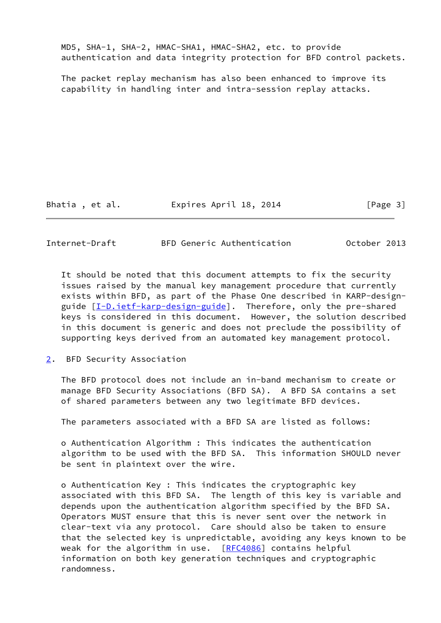MD5, SHA-1, SHA-2, HMAC-SHA1, HMAC-SHA2, etc. to provide authentication and data integrity protection for BFD control packets.

 The packet replay mechanism has also been enhanced to improve its capability in handling inter and intra-session replay attacks.

Bhatia, et al. Expires April 18, 2014 [Page 3]

<span id="page-3-1"></span>Internet-Draft BFD Generic Authentication October 2013

 It should be noted that this document attempts to fix the security issues raised by the manual key management procedure that currently exists within BFD, as part of the Phase One described in KARP-design- guide [[I-D.ietf-karp-design-guide\]](#page-11-7). Therefore, only the pre-shared keys is considered in this document. However, the solution described in this document is generic and does not preclude the possibility of supporting keys derived from an automated key management protocol.

<span id="page-3-0"></span>[2](#page-3-0). BFD Security Association

 The BFD protocol does not include an in-band mechanism to create or manage BFD Security Associations (BFD SA). A BFD SA contains a set of shared parameters between any two legitimate BFD devices.

The parameters associated with a BFD SA are listed as follows:

 o Authentication Algorithm : This indicates the authentication algorithm to be used with the BFD SA. This information SHOULD never be sent in plaintext over the wire.

 o Authentication Key : This indicates the cryptographic key associated with this BFD SA. The length of this key is variable and depends upon the authentication algorithm specified by the BFD SA. Operators MUST ensure that this is never sent over the network in clear-text via any protocol. Care should also be taken to ensure that the selected key is unpredictable, avoiding any keys known to be weak for the algorithm in use. [\[RFC4086](https://datatracker.ietf.org/doc/pdf/rfc4086)] contains helpful information on both key generation techniques and cryptographic randomness.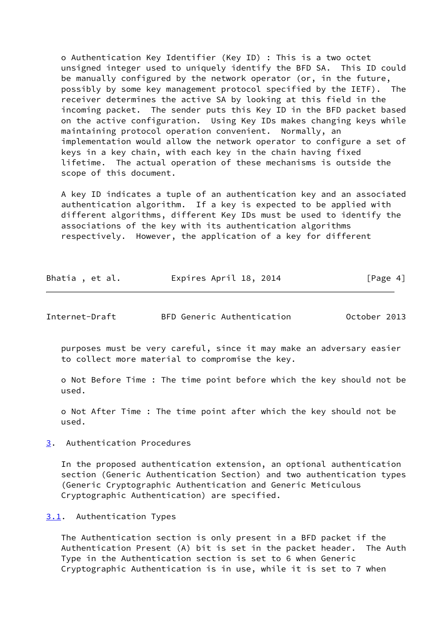o Authentication Key Identifier (Key ID) : This is a two octet unsigned integer used to uniquely identify the BFD SA. This ID could be manually configured by the network operator (or, in the future, possibly by some key management protocol specified by the IETF). The receiver determines the active SA by looking at this field in the incoming packet. The sender puts this Key ID in the BFD packet based on the active configuration. Using Key IDs makes changing keys while maintaining protocol operation convenient. Normally, an implementation would allow the network operator to configure a set of keys in a key chain, with each key in the chain having fixed lifetime. The actual operation of these mechanisms is outside the scope of this document.

 A key ID indicates a tuple of an authentication key and an associated authentication algorithm. If a key is expected to be applied with different algorithms, different Key IDs must be used to identify the associations of the key with its authentication algorithms respectively. However, the application of a key for different

| Bhatia, et al. | Expires April 18, 2014 | [Page 4] |
|----------------|------------------------|----------|
|----------------|------------------------|----------|

<span id="page-4-1"></span>Internet-Draft BFD Generic Authentication October 2013

 purposes must be very careful, since it may make an adversary easier to collect more material to compromise the key.

 o Not Before Time : The time point before which the key should not be used.

 o Not After Time : The time point after which the key should not be used.

<span id="page-4-0"></span>[3](#page-4-0). Authentication Procedures

 In the proposed authentication extension, an optional authentication section (Generic Authentication Section) and two authentication types (Generic Cryptographic Authentication and Generic Meticulous Cryptographic Authentication) are specified.

<span id="page-4-2"></span>[3.1](#page-4-2). Authentication Types

 The Authentication section is only present in a BFD packet if the Authentication Present (A) bit is set in the packet header. The Auth Type in the Authentication section is set to 6 when Generic Cryptographic Authentication is in use, while it is set to 7 when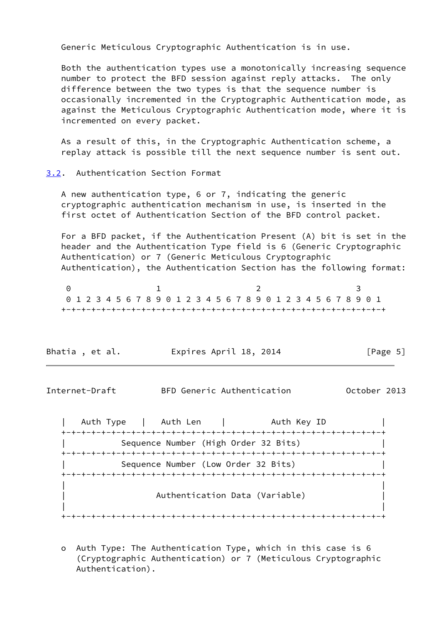Generic Meticulous Cryptographic Authentication is in use.

 Both the authentication types use a monotonically increasing sequence number to protect the BFD session against reply attacks. The only difference between the two types is that the sequence number is occasionally incremented in the Cryptographic Authentication mode, as against the Meticulous Cryptographic Authentication mode, where it is incremented on every packet.

 As a result of this, in the Cryptographic Authentication scheme, a replay attack is possible till the next sequence number is sent out.

### <span id="page-5-0"></span>[3.2](#page-5-0). Authentication Section Format

 A new authentication type, 6 or 7, indicating the generic cryptographic authentication mechanism in use, is inserted in the first octet of Authentication Section of the BFD control packet.

 For a BFD packet, if the Authentication Present (A) bit is set in the header and the Authentication Type field is 6 (Generic Cryptographic Authentication) or 7 (Generic Meticulous Cryptographic Authentication), the Authentication Section has the following format:

0 1 2 3 0 1 2 3 4 5 6 7 8 9 0 1 2 3 4 5 6 7 8 9 0 1 2 3 4 5 6 7 8 9 0 1 +-+-+-+-+-+-+-+-+-+-+-+-+-+-+-+-+-+-+-+-+-+-+-+-+-+-+-+-+-+-+-+-+

| Bhatia, et al. | Expires April 18, 2014 | [Page 5] |
|----------------|------------------------|----------|
|----------------|------------------------|----------|

<span id="page-5-1"></span>Internet-Draft BFD Generic Authentication October 2013

| Auth Type | Auth Len | Auth Key ID +-+-+-+-+-+-+-+-+-+-+-+-+-+-+-+-+-+-+-+-+-+-+-+-+-+-+-+-+-+-+-+-+ Sequence Number (High Order 32 Bits) +-+-+-+-+-+-+-+-+-+-+-+-+-+-+-+-+-+-+-+-+-+-+-+-+-+-+-+-+-+-+-+-+ Sequence Number (Low Order 32 Bits) +-+-+-+-+-+-+-+-+-+-+-+-+-+-+-+-+-+-+-+-+-+-+-+-+-+-+-+-+-+-+-+-+ | | | Authentication Data (Variable) | | | +-+-+-+-+-+-+-+-+-+-+-+-+-+-+-+-+-+-+-+-+-+-+-+-+-+-+-+-+-+-+-+-+

 o Auth Type: The Authentication Type, which in this case is 6 (Cryptographic Authentication) or 7 (Meticulous Cryptographic Authentication).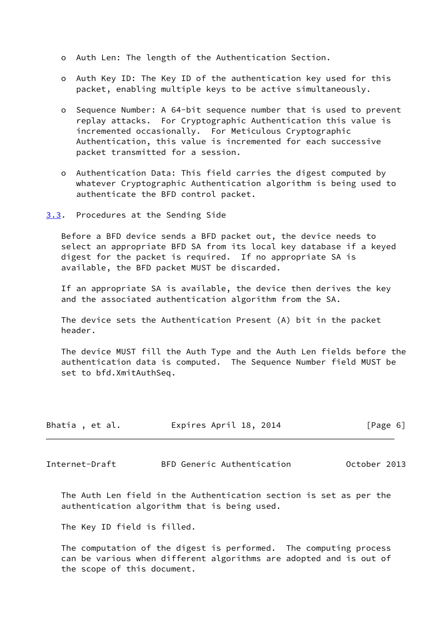- o Auth Len: The length of the Authentication Section.
- o Auth Key ID: The Key ID of the authentication key used for this packet, enabling multiple keys to be active simultaneously.
- o Sequence Number: A 64-bit sequence number that is used to prevent replay attacks. For Cryptographic Authentication this value is incremented occasionally. For Meticulous Cryptographic Authentication, this value is incremented for each successive packet transmitted for a session.
- o Authentication Data: This field carries the digest computed by whatever Cryptographic Authentication algorithm is being used to authenticate the BFD control packet.
- <span id="page-6-0"></span>[3.3](#page-6-0). Procedures at the Sending Side

 Before a BFD device sends a BFD packet out, the device needs to select an appropriate BFD SA from its local key database if a keyed digest for the packet is required. If no appropriate SA is available, the BFD packet MUST be discarded.

 If an appropriate SA is available, the device then derives the key and the associated authentication algorithm from the SA.

 The device sets the Authentication Present (A) bit in the packet header.

 The device MUST fill the Auth Type and the Auth Len fields before the authentication data is computed. The Sequence Number field MUST be set to bfd.XmitAuthSeq.

| Bhatia, et al. | Expires April 18, 2014 | [Page 6] |
|----------------|------------------------|----------|
|----------------|------------------------|----------|

<span id="page-6-1"></span>Internet-Draft BFD Generic Authentication October 2013

 The Auth Len field in the Authentication section is set as per the authentication algorithm that is being used.

The Key ID field is filled.

 The computation of the digest is performed. The computing process can be various when different algorithms are adopted and is out of the scope of this document.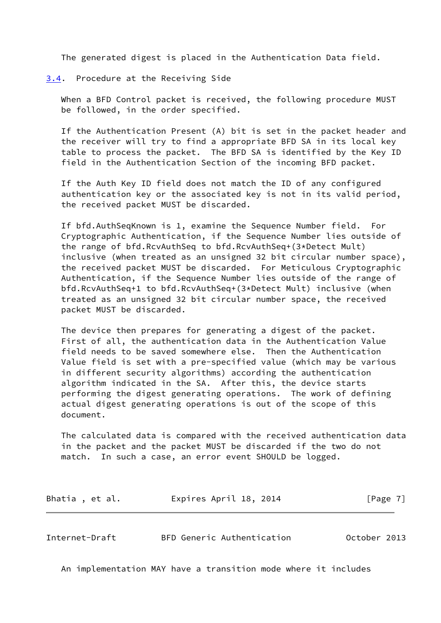The generated digest is placed in the Authentication Data field.

<span id="page-7-0"></span>[3.4](#page-7-0). Procedure at the Receiving Side

 When a BFD Control packet is received, the following procedure MUST be followed, in the order specified.

 If the Authentication Present (A) bit is set in the packet header and the receiver will try to find a appropriate BFD SA in its local key table to process the packet. The BFD SA is identified by the Key ID field in the Authentication Section of the incoming BFD packet.

 If the Auth Key ID field does not match the ID of any configured authentication key or the associated key is not in its valid period, the received packet MUST be discarded.

 If bfd.AuthSeqKnown is 1, examine the Sequence Number field. For Cryptographic Authentication, if the Sequence Number lies outside of the range of bfd.RcvAuthSeq to bfd.RcvAuthSeq+(3\*Detect Mult) inclusive (when treated as an unsigned 32 bit circular number space), the received packet MUST be discarded. For Meticulous Cryptographic Authentication, if the Sequence Number lies outside of the range of bfd.RcvAuthSeq+1 to bfd.RcvAuthSeq+(3\*Detect Mult) inclusive (when treated as an unsigned 32 bit circular number space, the received packet MUST be discarded.

 The device then prepares for generating a digest of the packet. First of all, the authentication data in the Authentication Value field needs to be saved somewhere else. Then the Authentication Value field is set with a pre-specified value (which may be various in different security algorithms) according the authentication algorithm indicated in the SA. After this, the device starts performing the digest generating operations. The work of defining actual digest generating operations is out of the scope of this document.

 The calculated data is compared with the received authentication data in the packet and the packet MUST be discarded if the two do not match. In such a case, an error event SHOULD be logged.

Bhatia, et al. 
Expires April 18, 2014

[Page 7]

<span id="page-7-1"></span>Internet-Draft BFD Generic Authentication October 2013

An implementation MAY have a transition mode where it includes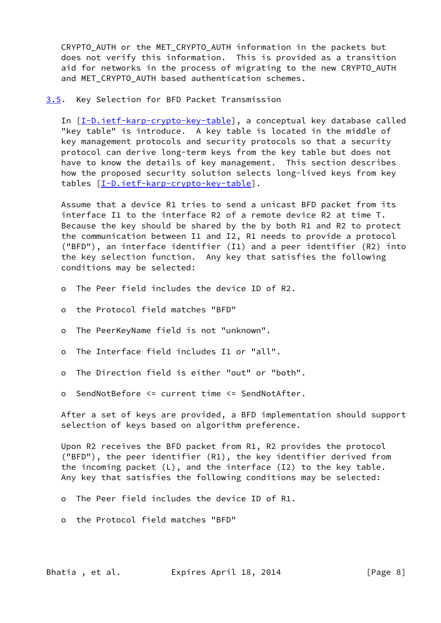CRYPTO AUTH or the MET CRYPTO AUTH information in the packets but does not verify this information. This is provided as a transition aid for networks in the process of migrating to the new CRYPTO AUTH and MET CRYPTO AUTH based authentication schemes.

<span id="page-8-0"></span>[3.5](#page-8-0). Key Selection for BFD Packet Transmission

In [[I-D.ietf-karp-crypto-key-table](#page-11-8)], a conceptual key database called "key table" is introduce. A key table is located in the middle of key management protocols and security protocols so that a security protocol can derive long-term keys from the key table but does not have to know the details of key management. This section describes how the proposed security solution selects long-lived keys from key tables [\[I-D.ietf-karp-crypto-key-table](#page-11-8)].

 Assume that a device R1 tries to send a unicast BFD packet from its interface I1 to the interface R2 of a remote device R2 at time T. Because the key should be shared by the by both R1 and R2 to protect the communication between I1 and I2, R1 needs to provide a protocol ("BFD"), an interface identifier (I1) and a peer identifier (R2) into the key selection function. Any key that satisfies the following conditions may be selected:

- o The Peer field includes the device ID of R2.
- o the Protocol field matches "BFD"
- o The PeerKeyName field is not "unknown".
- o The Interface field includes I1 or "all".
- o The Direction field is either "out" or "both".
- o SendNotBefore <= current time <= SendNotAfter.

 After a set of keys are provided, a BFD implementation should support selection of keys based on algorithm preference.

 Upon R2 receives the BFD packet from R1, R2 provides the protocol ("BFD"), the peer identifier (R1), the key identifier derived from the incoming packet (L), and the interface (I2) to the key table. Any key that satisfies the following conditions may be selected:

- o The Peer field includes the device ID of R1.
- o the Protocol field matches "BFD"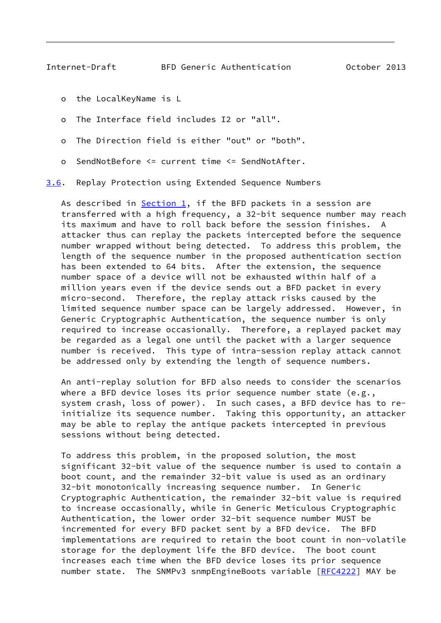- <span id="page-9-1"></span>o the LocalKeyName is L
- o The Interface field includes I2 or "all".
- o The Direction field is either "out" or "both".
- o SendNotBefore <= current time <= SendNotAfter.

<span id="page-9-0"></span>[3.6](#page-9-0). Replay Protection using Extended Sequence Numbers

As described in  $Section 1$ , if the BFD packets in a session are transferred with a high frequency, a 32-bit sequence number may reach its maximum and have to roll back before the session finishes. A attacker thus can replay the packets intercepted before the sequence number wrapped without being detected. To address this problem, the length of the sequence number in the proposed authentication section has been extended to 64 bits. After the extension, the sequence number space of a device will not be exhausted within half of a million years even if the device sends out a BFD packet in every micro-second. Therefore, the replay attack risks caused by the limited sequence number space can be largely addressed. However, in Generic Cryptographic Authentication, the sequence number is only required to increase occasionally. Therefore, a replayed packet may be regarded as a legal one until the packet with a larger sequence number is received. This type of intra-session replay attack cannot be addressed only by extending the length of sequence numbers.

 An anti-replay solution for BFD also needs to consider the scenarios where a BFD device loses its prior sequence number state  $(e.g.,)$  system crash, loss of power). In such cases, a BFD device has to re initialize its sequence number. Taking this opportunity, an attacker may be able to replay the antique packets intercepted in previous sessions without being detected.

 To address this problem, in the proposed solution, the most significant 32-bit value of the sequence number is used to contain a boot count, and the remainder 32-bit value is used as an ordinary 32-bit monotonically increasing sequence number. In Generic Cryptographic Authentication, the remainder 32-bit value is required to increase occasionally, while in Generic Meticulous Cryptographic Authentication, the lower order 32-bit sequence number MUST be incremented for every BFD packet sent by a BFD device. The BFD implementations are required to retain the boot count in non-volatile storage for the deployment life the BFD device. The boot count increases each time when the BFD device loses its prior sequence number state. The SNMPv3 snmpEngineBoots variable [[RFC4222\]](https://datatracker.ietf.org/doc/pdf/rfc4222) MAY be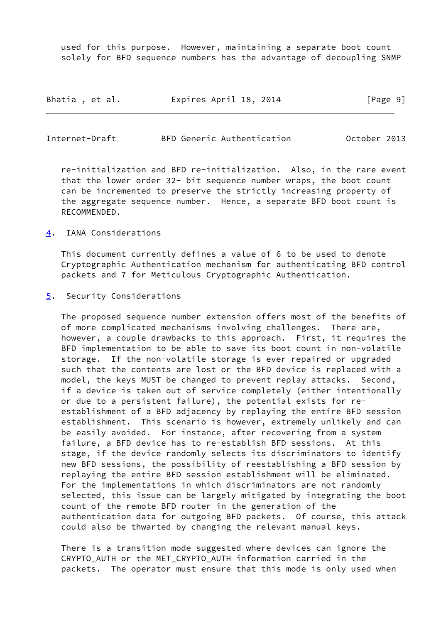used for this purpose. However, maintaining a separate boot count solely for BFD sequence numbers has the advantage of decoupling SNMP

| Bhatia, et al. | Expires April 18, 2014 | [Page 9] |
|----------------|------------------------|----------|
|----------------|------------------------|----------|

<span id="page-10-1"></span>

| Internet-Draft |  |  | BFD Generic Authentication | October 2013 |  |
|----------------|--|--|----------------------------|--------------|--|
|----------------|--|--|----------------------------|--------------|--|

 re-initialization and BFD re-initialization. Also, in the rare event that the lower order 32- bit sequence number wraps, the boot count can be incremented to preserve the strictly increasing property of the aggregate sequence number. Hence, a separate BFD boot count is RECOMMENDED.

<span id="page-10-0"></span>[4](#page-10-0). IANA Considerations

 This document currently defines a value of 6 to be used to denote Cryptographic Authentication mechanism for authenticating BFD control packets and 7 for Meticulous Cryptographic Authentication.

<span id="page-10-2"></span>[5](#page-10-2). Security Considerations

 The proposed sequence number extension offers most of the benefits of of more complicated mechanisms involving challenges. There are, however, a couple drawbacks to this approach. First, it requires the BFD implementation to be able to save its boot count in non-volatile storage. If the non-volatile storage is ever repaired or upgraded such that the contents are lost or the BFD device is replaced with a model, the keys MUST be changed to prevent replay attacks. Second, if a device is taken out of service completely (either intentionally or due to a persistent failure), the potential exists for re establishment of a BFD adjacency by replaying the entire BFD session establishment. This scenario is however, extremely unlikely and can be easily avoided. For instance, after recovering from a system failure, a BFD device has to re-establish BFD sessions. At this stage, if the device randomly selects its discriminators to identify new BFD sessions, the possibility of reestablishing a BFD session by replaying the entire BFD session establishment will be eliminated. For the implementations in which discriminators are not randomly selected, this issue can be largely mitigated by integrating the boot count of the remote BFD router in the generation of the authentication data for outgoing BFD packets. Of course, this attack could also be thwarted by changing the relevant manual keys.

 There is a transition mode suggested where devices can ignore the CRYPTO AUTH or the MET CRYPTO AUTH information carried in the packets. The operator must ensure that this mode is only used when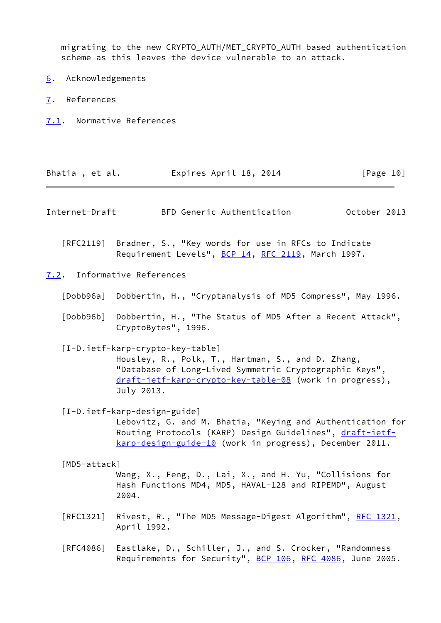migrating to the new CRYPTO\_AUTH/MET\_CRYPTO\_AUTH based authentication scheme as this leaves the device vulnerable to an attack.

- <span id="page-11-0"></span>[6](#page-11-0). Acknowledgements
- <span id="page-11-1"></span>[7](#page-11-1). References
- <span id="page-11-2"></span>[7.1](#page-11-2). Normative References

<span id="page-11-8"></span><span id="page-11-7"></span><span id="page-11-6"></span><span id="page-11-5"></span><span id="page-11-4"></span><span id="page-11-3"></span>

| Bhatia, et al.    | Expires April 18, 2014                                                                                                                                                                                                   | [Page 10]    |
|-------------------|--------------------------------------------------------------------------------------------------------------------------------------------------------------------------------------------------------------------------|--------------|
| Internet-Draft    | BFD Generic Authentication                                                                                                                                                                                               | October 2013 |
|                   | [RFC2119] Bradner, S., "Key words for use in RFCs to Indicate<br>Requirement Levels", BCP 14, RFC 2119, March 1997.                                                                                                      |              |
|                   | 7.2. Informative References                                                                                                                                                                                              |              |
| [Dobb96a]         | Dobbertin, H., "Cryptanalysis of MD5 Compress", May 1996.                                                                                                                                                                |              |
| [Db96b]           | Dobbertin, H., "The Status of MD5 After a Recent Attack",<br>CryptoBytes", 1996.                                                                                                                                         |              |
|                   | [I-D.ietf-karp-crypto-key-table]<br>Housley, R., Polk, T., Hartman, S., and D. Zhang,<br>"Database of Long-Lived Symmetric Cryptographic Keys",<br>draft-ietf-karp-crypto-key-table-08 (work in progress),<br>July 2013. |              |
|                   | [I-D.ietf-karp-design-guide]<br>Lebovitz, G. and M. Bhatia, "Keying and Authentication for<br>Routing Protocols (KARP) Design Guidelines", draft-ietf-<br>karp-design-guide-10 (work in progress), December 2011.        |              |
| [MD5-attack]      | Wang, X., Feng, D., Lai, X., and H. Yu, "Collisions for<br>Hash Functions MD4, MD5, HAVAL-128 and RIPEMD", August<br>2004.                                                                                               |              |
| [REC1321]         | Rivest, R., "The MD5 Message-Digest Algorithm", RFC 1321,<br>April 1992.                                                                                                                                                 |              |
| $\lceil$ RFC4086] | Eastlake, D., Schiller, J., and S. Crocker, "Randomness<br>Requirements for Security", BCP 106, RFC 4086, June 2005.                                                                                                     |              |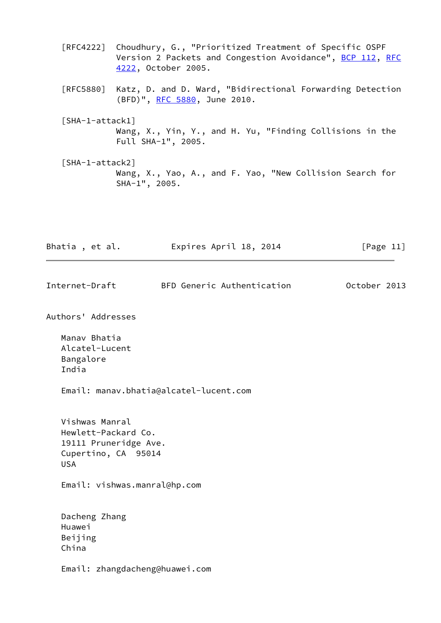- [RFC4222] Choudhury, G., "Prioritized Treatment of Specific OSPF Version 2 Packets and Congestion Avoidance", [BCP 112](https://datatracker.ietf.org/doc/pdf/bcp112), [RFC](https://datatracker.ietf.org/doc/pdf/rfc4222) [4222,](https://datatracker.ietf.org/doc/pdf/rfc4222) October 2005.
- [RFC5880] Katz, D. and D. Ward, "Bidirectional Forwarding Detection (BFD)", [RFC 5880,](https://datatracker.ietf.org/doc/pdf/rfc5880) June 2010.
- <span id="page-12-1"></span> [SHA-1-attack1] Wang, X., Yin, Y., and H. Yu, "Finding Collisions in the Full SHA-1", 2005.
- <span id="page-12-2"></span> [SHA-1-attack2] Wang, X., Yao, A., and F. Yao, "New Collision Search for SHA-1", 2005.

Bhatia, et al. Expires April 18, 2014 [Page 11]

<span id="page-12-0"></span>Internet-Draft BFD Generic Authentication October 2013

Authors' Addresses

 Manav Bhatia Alcatel-Lucent Bangalore India

Email: manav.bhatia@alcatel-lucent.com

 Vishwas Manral Hewlett-Packard Co. 19111 Pruneridge Ave. Cupertino, CA 95014 USA

Email: vishwas.manral@hp.com

 Dacheng Zhang Huawei Beijing China

Email: zhangdacheng@huawei.com